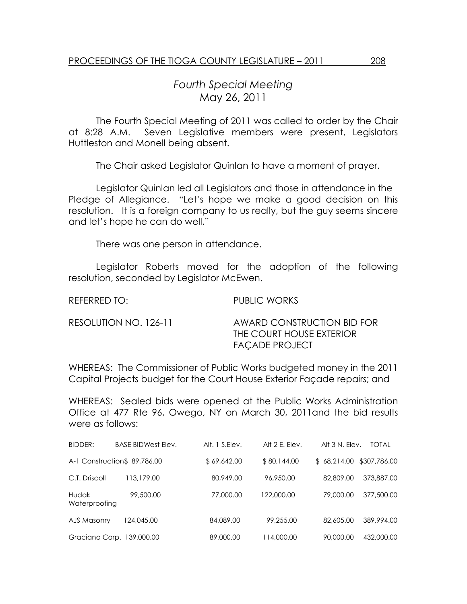## Fourth Special Meeting May 26, 2011

 The Fourth Special Meeting of 2011 was called to order by the Chair at 8:28 A.M. Seven Legislative members were present, Legislators Huttleston and Monell being absent.

The Chair asked Legislator Quinlan to have a moment of prayer.

 Legislator Quinlan led all Legislators and those in attendance in the Pledge of Allegiance. "Let's hope we make a good decision on this resolution. It is a foreign company to us really, but the guy seems sincere and let's hope he can do well."

There was one person in attendance.

 Legislator Roberts moved for the adoption of the following resolution, seconded by Legislator McEwen.

REFERRED TO: PUBLIC WORKS

| RESOLUTION NO. 126-11 | AWARD CONSTRUCTION BID FOR |  |  |
|-----------------------|----------------------------|--|--|
|                       | THE COURT HOUSE EXTERIOR   |  |  |
|                       | FAÇADE PROJECT             |  |  |

WHEREAS: The Commissioner of Public Works budgeted money in the 2011 Capital Projects budget for the Court House Exterior Façade repairs; and

WHEREAS: Sealed bids were opened at the Public Works Administration Office at 477 Rte 96, Owego, NY on March 30, 2011and the bid results were as follows:

| BIDDER:                   | <b>BASE BIDWest Elev.</b>    | Alt. 1 S.Elev. | Alt 2 E. Elev. | Alt 3 N. Elev.           | TOTAL      |
|---------------------------|------------------------------|----------------|----------------|--------------------------|------------|
|                           | A-1 Construction\$ 89,786.00 | \$69,642.00    | \$80,144.00    | \$68,214.00 \$307,786.00 |            |
| C.T. Driscoll             | 113,179.00                   | 80,949.00      | 96,950,00      | 82,809.00                | 373,887,00 |
| Hudak<br>Waterproofing    | 99,500.00                    | 77,000.00      | 122,000.00     | 79,000.00                | 377,500.00 |
| AJS Masonry               | 124,045.00                   | 84,089,00      | 99,255.00      | 82,605.00                | 389,994.00 |
| Graciano Corp. 139,000.00 |                              | 89,000.00      | 114,000.00     | 90,000,00                | 432,000.00 |